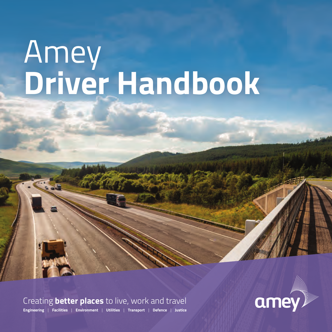# Amey **Driver Handbook**

Creating **better places** to live, work and travel



**Engineering** | **Facilities** | **Environment** | **Utilities** | **Transport** | **Defence** | **Justice**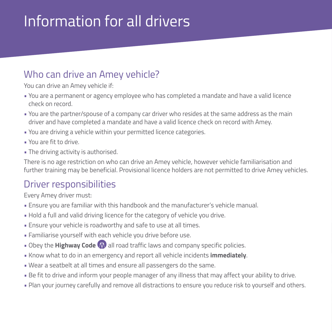### Information for all drivers

### Who can drive an Amey vehicle?

You can drive an Amey vehicle if:

- You are a permanent or agency employee who has completed a mandate and have a valid licence check on record.
- You are the partner/spouse of a company car driver who resides at the same address as the main driver and have completed a mandate and have a valid licence check on record with Amey.
- You are driving a vehicle within your permitted licence categories.
- You are fit to drive.
- The driving activity is authorised.

There is no age restriction on who can drive an Amey vehicle, however vehicle familiarisation and further training may be beneficial. Provisional licence holders are not permitted to drive Amey vehicles.

### Driver responsibilities

Every Amey driver must:

- Ensure you are familiar with this handbook and the manufacturer's vehicle manual.
- Hold a full and valid driving licence for the category of vehicle you drive.
- Ensure your vehicle is roadworthy and safe to use at all times.
- Familiarise yourself with each vehicle you drive before use.
- Obey the **Highway Code (1)** all road traffic laws and company specific policies.
- Know what to do in an emergency and report all vehicle incidents **immediately**.
- Wear a seatbelt at all times and ensure all passengers do the same.
- Be fit to drive and inform your people manager of any illness that may affect your ability to drive.
- Plan your journey carefully and remove all distractions to ensure you reduce risk to yourself and others.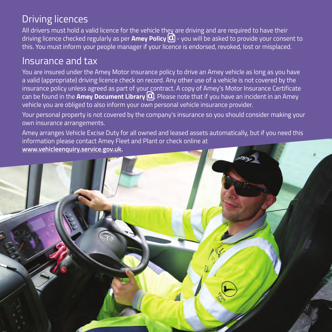### Driving licences

All drivers must hold a valid licence for the vehicle they are driving and are required to have their driving licence checked regularly as per **Amey Policy** - you will be asked to provide your consent to this. You must inform your people manager if your licence is endorsed, revoked, lost or misplaced.

### Insurance and tax

You are insured under the Amey Motor insurance policy to drive an Amey vehicle as long as you have a valid (appropriate) driving licence check on record. Any other use of a vehicle is not covered by the insurance policy unless agreed as part of your contract. A copy of Amey's Motor Insurance Certificate can be found in the **Amey Document Library**  $\alpha$ . Please note that if you have an incident in an Amey vehicle you are obliged to also inform your own personal vehicle insurance provider.

Your personal property is not covered by the company's insurance so you should consider making your own insurance arrangements.

Amey arranges Vehicle Excise Duty for all owned and leased assets automatically, but if you need this information please contact Amey Fleet and Plant or check online at **www.vehicleenquiry.service.gov.uk.** 

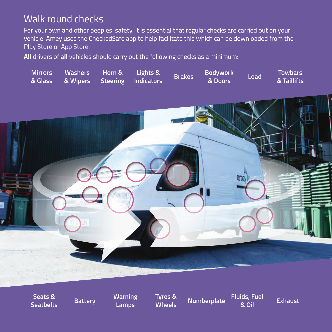### Walk round checks

For your own and other peoples' safety, it is essential that regular checks are carried out on your vehicle. Amey uses the CheckedSafe app to help facilitate this which can be downloaded from the Play Store or App Store.

**All** drivers of **all** vehicles should carry out the following checks as a minimum:



**Seats & Seatbelts Battery Warning** 

**Lamps**

**Tyres &** 

**Wheels Numberplate Fluids, Fuel** 

**& Oil Exhaust**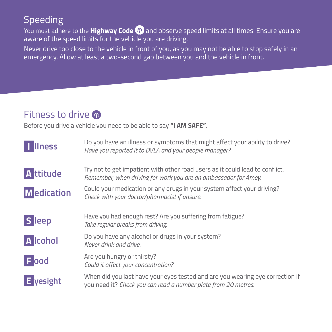### Speeding

You must adhere to the **Highway Code 4)** and observe speed limits at all times. Ensure you are aware of the speed limits for the vehicle you are driving.

Never drive too close to the vehicle in front of you, as you may not be able to stop safely in an emergency. Allow at least a two-second gap between you and the vehicle in front.

### Fitness to drive @

Before you drive a vehicle you need to be able to say **"I AM SAFE"**.

| <b>Ilness</b>          | Do you have an illness or symptoms that might affect your ability to drive?<br>Have you reported it to DVLA and your people manager?            |
|------------------------|-------------------------------------------------------------------------------------------------------------------------------------------------|
| <b>A</b> ttitude       | Try not to get impatient with other road users as it could lead to conflict.<br>Remember, when driving for work you are an ambassador for Amey. |
| <b>M</b> edication     | Could your medication or any drugs in your system affect your driving?<br>Check with your doctor/pharmacist if unsure.                          |
| <b>S</b> leep          | Have you had enough rest? Are you suffering from fatigue?<br>Take regular breaks from driving.                                                  |
| <b>A</b> Icohol        | Do you have any alcohol or drugs in your system?<br>Never drink and drive.                                                                      |
| $F$ ood                | Are you hungry or thirsty?<br>Could it affect your concentration?                                                                               |
| $\blacksquare$ yesight | When did you last have your eyes tested and are you wearing eye correction if<br>you need it? Check you can read a number plate from 20 metres. |
|                        |                                                                                                                                                 |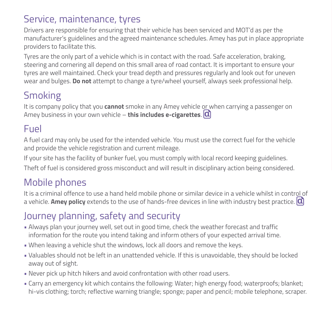### Service, maintenance, tyres

Drivers are responsible for ensuring that their vehicle has been serviced and MOT'd as per the manufacturer's guidelines and the agreed maintenance schedules. Amey has put in place appropriate providers to facilitate this.

Tyres are the only part of a vehicle which is in contact with the road. Safe acceleration, braking, steering and cornering all depend on this small area of road contact. It is important to ensure your tyres are well maintained. Check your tread depth and pressures regularly and look out for uneven wear and bulges. **Do not** attempt to change a tyre/wheel yourself, always seek professional help.

### Smoking

It is company policy that you **cannot** smoke in any Amey vehicle or when carrying a passenger on Amey business in your own vehicle – **this includes e-cigarettes**.

#### Fuel

A fuel card may only be used for the intended vehicle. You must use the correct fuel for the vehicle and provide the vehicle registration and current mileage.

If your site has the facility of bunker fuel, you must comply with local record keeping guidelines. Theft of fuel is considered gross misconduct and will result in disciplinary action being considered.

### Mobile phones

It is a criminal offence to use a hand held mobile phone or similar device in a vehicle whilst in control of a vehicle. **Amey policy** extends to the use of hands-free devices in line with industry best practice.

### Journey planning, safety and security

- Always plan your journey well, set out in good time, check the weather forecast and traffic information for the route you intend taking and inform others of your expected arrival time.
- When leaving a vehicle shut the windows, lock all doors and remove the keys.
- Valuables should not be left in an unattended vehicle. If this is unavoidable, they should be locked away out of sight.
- Never pick up hitch hikers and avoid confrontation with other road users.
- Carry an emergency kit which contains the following: Water; high energy food; waterproofs; blanket; hi-vis clothing; torch; reflective warning triangle; sponge; paper and pencil; mobile telephone, scraper.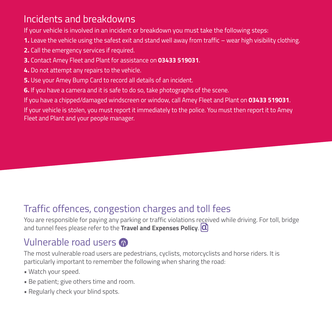### Incidents and breakdowns

If your vehicle is involved in an incident or breakdown you must take the following steps:

- **1.** Leave the vehicle using the safest exit and stand well away from traffic wear high visibility clothing.
- **2.** Call the emergency services if required.
- **3.** Contact Amey Fleet and Plant for assistance on **03433 519031**.
- **4.** Do not attempt any repairs to the vehicle.
- **5.** Use your Amey Bump Card to record all details of an incident.
- **6.** If you have a camera and it is safe to do so, take photographs of the scene.

If you have a chipped/damaged windscreen or window, call Amey Fleet and Plant on **03433 519031**.

If your vehicle is stolen, you must report it immediately to the police. You must then report it to Amey Fleet and Plant and your people manager.

### Traffic offences, congestion charges and toll fees

You are responsible for paying any parking or traffic violations received while driving. For toll, bridge and tunnel fees please refer to the **Travel and Expenses Policy**.

### Vulnerable road users

The most vulnerable road users are pedestrians, cyclists, motorcyclists and horse riders. It is particularly important to remember the following when sharing the road:

- Watch your speed.
- Be patient; give others time and room.
- Regularly check your blind spots.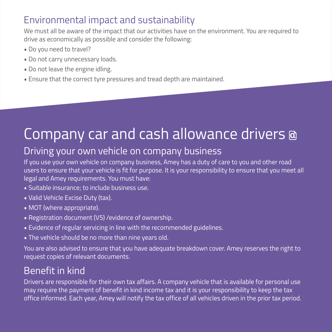### Environmental impact and sustainability

We must all be aware of the impact that our activities have on the environment. You are required to drive as economically as possible and consider the following:

- Do you need to travel?
- Do not carry unnecessary loads.
- Do not leave the engine idling.
- Ensure that the correct tyre pressures and tread depth are maintained.

### Company car and cash allowance drivers

### Driving your own vehicle on company business

If you use your own vehicle on company business, Amey has a duty of care to you and other road users to ensure that your vehicle is fit for purpose. It is your responsibility to ensure that you meet all legal and Amey requirements. You must have:

- Suitable insurance; to include business use.
- Valid Vehicle Excise Duty (tax).
- MOT (where appropriate).
- Registration document (V5) /evidence of ownership.
- Evidence of regular servicing in line with the recommended guidelines.
- The vehicle should be no more than nine years old.

You are also advised to ensure that you have adequate breakdown cover. Amey reserves the right to request copies of relevant documents.

### Benefit in kind

Drivers are responsible for their own tax affairs. A company vehicle that is available for personal use may require the payment of benefit in kind income tax and it is your responsibility to keep the tax office informed. Each year, Amey will notify the tax office of all vehicles driven in the prior tax period.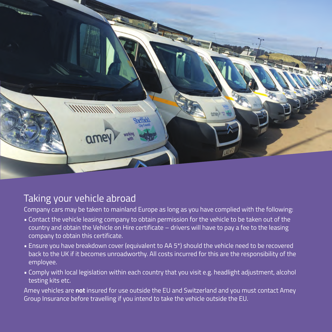

#### Taking your vehicle abroad

Company cars may be taken to mainland Europe as long as you have complied with the following:

- Contact the vehicle leasing company to obtain permission for the vehicle to be taken out of the country and obtain the Vehicle on Hire certificate – drivers will have to pay a fee to the leasing company to obtain this certificate.
- Ensure you have breakdown cover (equivalent to AA 5\*) should the vehicle need to be recovered back to the UK if it becomes unroadworthy. All costs incurred for this are the responsibility of the employee.
- Comply with local legislation within each country that you visit e.g. headlight adjustment, alcohol testing kits etc.

Amey vehicles are **not** insured for use outside the EU and Switzerland and you must contact Amey Group Insurance before travelling if you intend to take the vehicle outside the EU.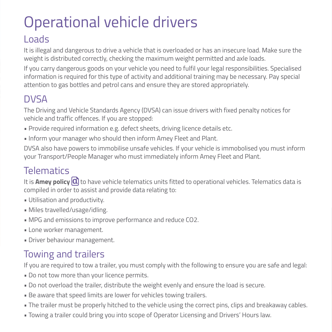## Operational vehicle drivers

### Loads

It is illegal and dangerous to drive a vehicle that is overloaded or has an insecure load. Make sure the weight is distributed correctly, checking the maximum weight permitted and axle loads.

If you carry dangerous goods on your vehicle you need to fulfil your legal responsibilities. Specialised information is required for this type of activity and additional training may be necessary. Pay special attention to gas bottles and petrol cans and ensure they are stored appropriately.

### **DVSA**

The Driving and Vehicle Standards Agency (DVSA) can issue drivers with fixed penalty notices for vehicle and traffic offences. If you are stopped:

- Provide required information e.g. defect sheets, driving licence details etc.
- Inform your manager who should then inform Amey Fleet and Plant.

DVSA also have powers to immobilise unsafe vehicles. If your vehicle is immobolised you must inform your Transport/People Manager who must immediately inform Amey Fleet and Plant.

### **Telematics**

It is **Amey policy**  $\Omega$  to have vehicle telematics units fitted to operational vehicles. Telematics data is compiled in order to assist and provide data relating to:

- Utilisation and productivity.
- Miles travelled/usage/idling.
- MPG and emissions to improve performance and reduce CO2.
- Lone worker management.
- Driver behaviour management.

### Towing and trailers

If you are required to tow a trailer, you must comply with the following to ensure you are safe and legal:

- Do not tow more than your licence permits.
- Do not overload the trailer, distribute the weight evenly and ensure the load is secure.
- Be aware that speed limits are lower for vehicles towing trailers.
- The trailer must be properly hitched to the vehicle using the correct pins, clips and breakaway cables.
- Towing a trailer could bring you into scope of Operator Licensing and Drivers' Hours law.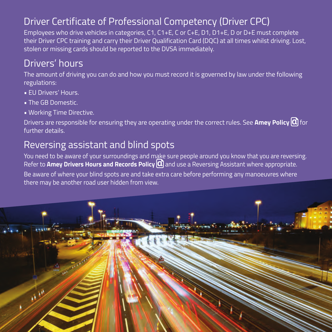### Driver Certificate of Professional Competency (Driver CPC)

Employees who drive vehicles in categories, C1, C1+E, C or C+E, D1, D1+E, D or D+E must complete their Driver CPC training and carry their Driver Qualification Card (DQC) at all times whilst driving. Lost, stolen or missing cards should be reported to the DVSA immediately.

### Drivers' hours

The amount of driving you can do and how you must record it is governed by law under the following regulations:

- EU Drivers' Hours.
- **The GB Domestic.**
- Working Time Directive.

Drivers are responsible for ensuring they are operating under the correct rules. See **Amey Policy** for further details.

### Reversing assistant and blind spots

You need to be aware of your surroundings and make sure people around you know that you are reversing. Refer to **Amey Drivers Hours and Records Policy (Q)** and use a Reversing Assistant where appropriate.

Be aware of where your blind spots are and take extra care before performing any manoeuvres where there may be another road user hidden from view.

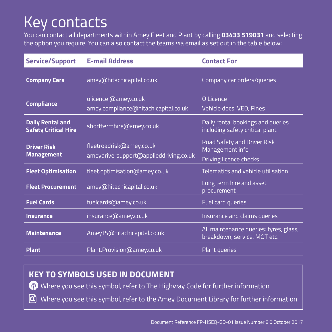### Key contacts

You can contact all departments within Amey Fleet and Plant by calling **03433 519031** and selecting the option you require. You can also contact the teams via email as set out in the table below:

| <b>Service/Support</b>                                 | <b>E-mail Address</b>                                              | <b>Contact For</b>                                                              |
|--------------------------------------------------------|--------------------------------------------------------------------|---------------------------------------------------------------------------------|
| <b>Company Cars</b>                                    | amey@hitachicapital.co.uk                                          | Company car orders/queries                                                      |
| <b>Compliance</b>                                      | olicence @amey.co.uk<br>amey.compliance@hitachicapital.co.uk       | O Licence<br>Vehicle docs, VED, Fines                                           |
| <b>Daily Rental and</b><br><b>Safety Critical Hire</b> | shorttermhire@amey.co.uk                                           | Daily rental bookings and queries<br>including safety critical plant            |
| <b>Driver Risk</b><br><b>Management</b>                | fleetroadrisk@amey.co.uk<br>ameydriversupport@applieddriving.co.uk | <b>Road Safety and Driver Risk</b><br>Management info<br>Driving licence checks |
| <b>Fleet Optimisation</b>                              | fleet.optimisation@amey.co.uk                                      | Telematics and vehicle utilisation                                              |
| <b>Fleet Procurement</b>                               | amey@hitachicapital.co.uk                                          | Long term hire and asset<br>procurement                                         |
| <b>Fuel Cards</b>                                      | fuelcards@amey.co.uk                                               | Fuel card queries                                                               |
| <b>Insurance</b>                                       | insurance@amey.co.uk                                               | Insurance and claims queries                                                    |
| <b>Maintenance</b>                                     | AmeyTS@hitachicapital.co.uk                                        | All maintenance queries: tyres, glass,<br>breakdown, service, MOT etc.          |
| <b>Plant</b>                                           | Plant.Provision@amey.co.uk                                         | <b>Plant queries</b>                                                            |

#### **KEY TO SYMBOLS USED IN DOCUMENT**

Where you see this symbol, refer to The Highway Code for further information  $\sigma$ 

વિ Where you see this symbol, refer to the Amey Document Library for further information